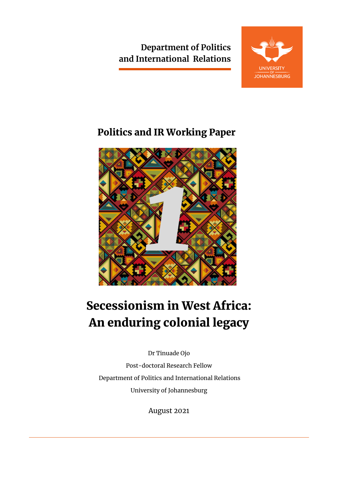**Department of Politics and International Relations**



## Politics and IR Working Paper



# Secessionism in West Africa: An enduring colonial legacy

Dr Tinuade Ojo

Post-doctoral Research Fellow Department of Politics and International Relations University of Johannesburg

August 2021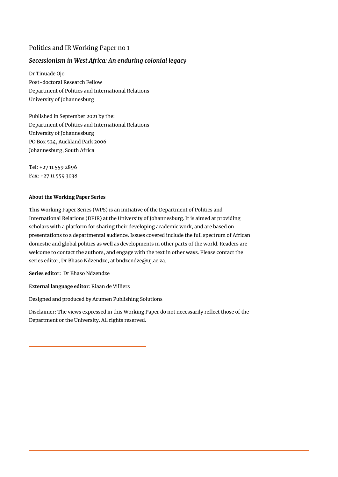#### Politics and IR Working Paper no 1

### *Secessionism in West Africa: An enduring colonial legacy*

Dr Tinuade Ojo Post-doctoral Research Fellow Department of Politics and International Relations University of Johannesburg

Published in September 2021 by the: Department of Politics and International Relations University of Johannesburg PO Box 524, Auckland Park 2006 Johannesburg, South Africa

Tel: +27 11 559 2896 Fax: +27 11 559 3038

#### **About the Working Paper Series**

This Working Paper Series (WPS) is an initiative of the Department of Politics and International Relations (DPIR) at the University of Johannesburg. It is aimed at providing scholars with a platform for sharing their developing academic work, and are based on presentations to a departmental audience. Issues covered include the full spectrum of African domestic and global politics as well as developments in other parts of the world. Readers are welcome to contact the authors, and engage with the text in other ways. Please contact the series editor, Dr Bhaso Ndzendze, at bndzendze@uj.ac.za.

**Series editor:** Dr Bhaso Ndzendze

**External language editor**: Riaan de Villiers

Designed and produced by Acumen Publishing Solutions

Disclaimer: The views expressed in this Working Paper do not necessarily reflect those of the Department or the University. All rights reserved.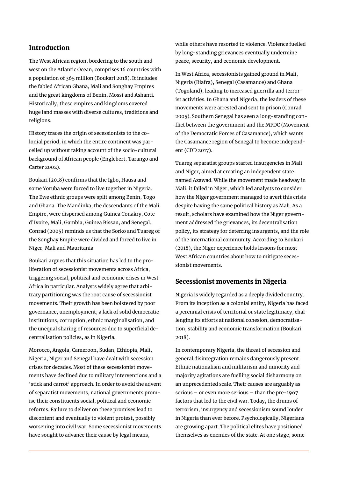#### Introduction

The West African region, bordering to the south and west on the Atlantic Ocean, comprises 16 countries with a population of 365 million (Boukari 2018). It includes the fabled African Ghana, Mali and Songhay Empires and the great kingdoms of Benin, Mossi and Ashanti. Historically, these empires and kingdoms covered huge land masses with diverse cultures, traditions and religions.

History traces the origin of secessionists to the colonial period, in which the entire continent was parcelled up without taking account of the socio-cultural background of African people (Englebert, Tarango and Carter 2002).

Boukari (2018) confirms that the Igbo, Hausa and some Yoruba were forced to live together in Nigeria. The Ewe ethnic groups were split among Benin, Togo and Ghana. The Mandinka, the descendants of the Mali Empire, were dispersed among Guinea Conakry, Cote d'Ivoire, Mali, Gambia, Guinea Bissau, and Senegal. Conrad (2005) reminds us that the Sorko and Tuareg of the Songhay Empire were divided and forced to live in Niger, Mali and Mauritania.

Boukari argues that this situation has led to the proliferation of secessionist movements across Africa, triggering social, political and economic crises in West Africa in particular. Analysts widely agree that arbitrary partitioning was the root cause of secessionist movements. Their growth has been bolstered by poor governance, unemployment, a lack of solid democratic institutions, corruption, ethnic marginalisation, and the unequal sharing of resources due to superficial decentralisation policies, as in Nigeria.

Morocco, Angola, Cameroon, Sudan, Ethiopia, Mali, Nigeria, Niger and Senegal have dealt with secession crises for decades. Most of these secessionist movements have declined due to military interventions and a 'stick and carrot' approach. In order to avoid the advent of separatist movements, national governments promise their constituents social, political and economic reforms. Failure to deliver on these promises lead to discontent and eventually to violent protest, possibly worsening into civil war. Some secessionist movements have sought to advance their cause by legal means,

while others have resorted to violence. Violence fuelled by long-standing grievances eventually undermine peace, security, and economic development.

In West Africa, secessionists gained ground in Mali, Nigeria (Biafra), Senegal (Casamance) and Ghana (Togoland), leading to increased guerrilla and terrorist activities. In Ghana and Nigeria, the leaders of these movements were arrested and sent to prison (Conrad 2005). Southern Senegal has seen a long-standing conflict between the government and the MFDC (Movement of the Democratic Forces of Casamance), which wants the Casamance region of Senegal to become independent (CDD 2017).

Tuareg separatist groups started insurgencies in Mali and Niger, aimed at creating an independent state named Azawad. While the movement made headway in Mali, it failed in Niger, which led analysts to consider how the Niger government managed to avert this crisis despite having the same political history as Mali. As a result, scholars have examined how the Niger government addressed the grievances, its decentralisation policy, its strategy for deterring insurgents, and the role of the international community. According to Boukari (2018), the Niger experience holds lessons for most West African countries about how to mitigate secessionist movements.

#### Secessionist movements in Nigeria

Nigeria is widely regarded as a deeply divided country. From its inception as a colonial entity, Nigeria has faced a perennial crisis of territorial or state legitimacy, challenging its efforts at national cohesion, democratisation, stability and economic transformation (Boukari 2018).

In contemporary Nigeria, the threat of secession and general disintegration remains dangerously present. Ethnic nationalism and militarism and minority and majority agitations are fuelling social disharmony on an unprecedented scale. Their causes are arguably as serious – or even more serious – than the pre-1967 factors that led to the civil war. Today, the drums of terrorism, insurgency and secessionism sound louder in Nigeria than ever before. Psychologically, Nigerians are growing apart. The political elites have positioned themselves as enemies of the state. At one stage, some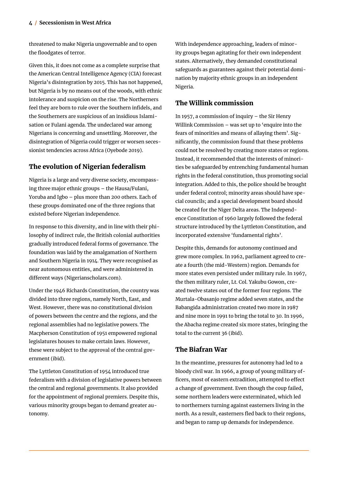threatened to make Nigeria ungovernable and to open the floodgates of terror.

Given this, it does not come as a complete surprise that the American Central Intelligence Agency (CIA) forecast Nigeria's disintegration by 2015. This has not happened, but Nigeria is by no means out of the woods, with ethnic intolerance and suspicion on the rise. The Northerners feel they are born to rule over the Southern infidels, and the Southerners are suspicious of an insidious Islamisation or Fulani agenda. The undeclared war among Nigerians is concerning and unsettling. Moreover, the disintegration of Nigeria could trigger or worsen secessionist tendencies across Africa (Oyebode 2019).

#### The evolution of Nigerian federalism

Nigeria is a large and very diverse society, encompassing three major ethnic groups – the Hausa/Fulani, Yoruba and Igbo – plus more than 200 others. Each of these groups dominated one of the three regions that existed before Nigerian independence.

In response to this diversity, and in line with their philosophy of indirect rule, the British colonial authorities gradually introduced federal forms of governance. The foundation was laid by the amalgamation of Northern and Southern Nigeria in 1914. They were recognised as near autonomous entities, and were administered in different ways (Nigerianscholars.com).

Under the 1946 Richards Constitution, the country was divided into three regions, namely North, East, and West. However, there was no constitutional division of powers between the centre and the regions, and the regional assemblies had no legislative powers. The Macpherson Constitution of 1951 empowered regional legislatures houses to make certain laws. However, these were subject to the approval of the central government (ibid).

The Lyttleton Constitution of 1954 introduced true federalism with a division of legislative powers between the central and regional governments. It also provided for the appointment of regional premiers. Despite this, various minority groups began to demand greater autonomy.

With independence approaching, leaders of minority groups began agitating for their own independent states. Alternatively, they demanded constitutional safeguards as guarantees against their potential domination by majority ethnic groups in an independent Nigeria.

#### The Willink commission

In 1957, a commission of inquiry – the Sir Henry Willink Commission – was set up to 'enquire into the fears of minorities and means of allaying them'. Significantly, the commission found that these problems could not be resolved by creating more states or regions. Instead, it recommended that the interests of minorities be safeguarded by entrenching fundamental human rights in the federal constitution, thus promoting social integration. Added to this, the police should be brought under federal control; minority areas should have special councils; and a special development board should be created for the Niger Delta areas. The Independence Constitution of 1960 largely followed the federal structure introduced by the Lyttleton Constitution, and incorporated extensive 'fundamental rights'.

Despite this, demands for autonomy continued and grew more complex. In 1962, parliament agreed to create a fourth (the mid-Western) region. Demands for more states even persisted under military rule. In 1967, the then military ruler, Lt. Col. Yakubu Gowon, created twelve states out of the former four regions. The Murtala-Obasanjo regime added seven states, and the Babangida administration created two more in 1987 and nine more in 1991 to bring the total to 30. In 1996, the Abacha regime created six more states, bringing the total to the current 36 (ibid).

#### The Biafran War

In the meantime, pressures for autonomy had led to a bloody civil war. In 1966, a group of young military officers, most of eastern extradition, attempted to effect a change of government. Even though the coup failed, some northern leaders were exterminated, which led to northerners turning against easterners living in the north. As a result, easterners fled back to their regions, and began to ramp up demands for independence.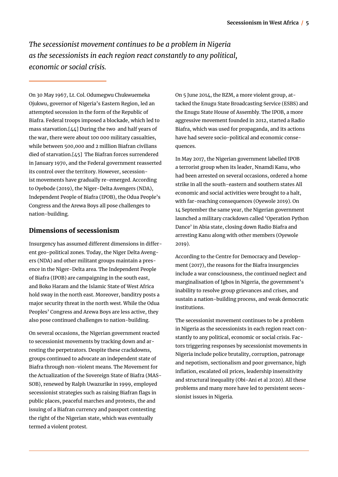*The secessionist movement continues to be a problem in Nigeria as the secessionists in each region react constantly to any political, economic or social crisis.* 

On 30 May 1967, Lt. Col. Odumegwu Chukwuemeka Ojukwu, governor of Nigeria's Eastern Region, led an attempted secession in the form of the Republic of Biafra. Federal troops imposed a blockade, which led to mass starvation.[44] During the two and half years of the war, there were about 100 000 military casualties, while between 500,000 and 2 million Biafran civilians died of starvation.[45] The Biafran forces surrendered in January 1970, and the Federal government reasserted its control over the territory. However, secessionist movements have gradually re-emerged. According to Oyebode (2019), the Niger-Delta Avengers (NDA), Independent People of Biafra (IPOB), the Odua People's Congress and the Arewa Boys all pose challenges to nation-building.

#### Dimensions of secessionism

Insurgency has assumed different dimensions in different geo-political zones. Today, the Niger Delta Avengers (NDA) and other militant groups maintain a presence in the Niger-Delta area. The Independent People of Biafra (IPOB) are campaigning in the south east, and Boko Haram and the Islamic State of West Africa hold sway in the north east. Moreover, banditry posts a major security threat in the north west. While the Odua Peoples' Congress and Arewa Boys are less active, they also pose continued challenges to nation-building.

On several occasions, the Nigerian government reacted to secessionist movements by tracking down and arresting the perpetrators. Despite these crackdowns, groups continued to advocate an independent state of Biafra through non-violent means. The Movement for the Actualization of the Sovereign State of Biafra (MAS-SOB), renewed by Ralph Uwazurike in 1999, employed secessionist strategies such as raising Biafran flags in public places, peaceful marches and protests, the and issuing of a Biafran currency and passport contesting the right of the Nigerian state, which was eventually termed a violent protest.

On 5 June 2014, the BZM, a more violent group, attacked the Enugu State Broadcasting Service (ESBS) and the Enugu State House of Assembly. The IPOB, a more aggressive movement founded in 2012, started a Radio Biafra, which was used for propaganda, and its actions have had severe socio-political and economic consequences.

In May 2017, the Nigerian government labelled IPOB a terrorist group when its leader, Nnamdi Kanu, who had been arrested on several occasions, ordered a home strike in all the south-eastern and southern states All economic and social activities were brought to a halt, with far-reaching consequences (Oyewole 2019). On 14 September the same year, the Nigerian government launched a military crackdown called 'Operation Python Dance' in Abia state, closing down Radio Biafra and arresting Kanu along with other members (Oyewole 2019).

According to the Centre for Democracy and Development (2017), the reasons for the Biafra insurgencies include a war consciousness, the continued neglect and marginalisation of Igbos in Nigeria, the government's inability to resolve group grievances and crises, and sustain a nation-building process, and weak democratic institutions.

The secessionist movement continues to be a problem in Nigeria as the secessionists in each region react constantly to any political, economic or social crisis. Factors triggering responses by secessionist movements in Nigeria include police brutality, corruption, patronage and nepotism, sectionalism and poor governance, high inflation, escalated oil prices, leadership insensitivity and structural inequality (Obi-Ani et al 2020). All these problems and many more have led to persistent secessionist issues in Nigeria.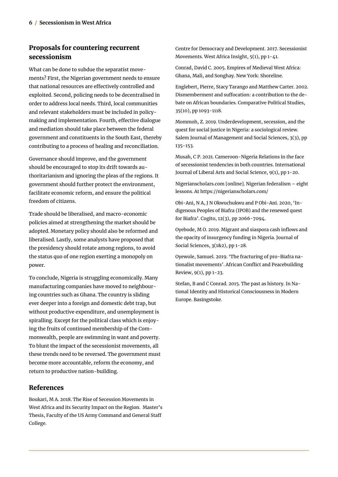### Proposals for countering recurrent secessionism

What can be done to subdue the separatist movements? First, the Nigerian government needs to ensure that national resources are effectively controlled and exploited. Second, policing needs to be decentralised in order to address local needs. Third, local communities and relevant stakeholders must be included in policymaking and implementation. Fourth, effective dialogue and mediation should take place between the federal government and constituents in the South East, thereby contributing to a process of healing and reconciliation.

Governance should improve, and the government should be encouraged to stop its drift towards authoritarianism and ignoring the pleas of the regions. It government should further protect the environment, facilitate economic reform, and ensure the political freedom of citizens.

Trade should be liberalised, and macro-economic policies aimed at strengthening the market should be adopted. Monetary policy should also be reformed and liberalised. Lastly, some analysts have proposed that the presidency should rotate among regions, to avoid the status quo of one region exerting a monopoly on power.

To conclude, Nigeria is struggling economically. Many manufacturing companies have moved to neighbouring countries such as Ghana. The country is sliding ever deeper into a foreign and domestic debt trap, but without productive expenditure, and unemployment is spiralling. Except for the political class which is enjoying the fruits of continued membership of the Commonwealth, people are swimming in want and poverty. To blunt the impact of the secessionist movements, all these trends need to be reversed. The government must become more accountable, reform the economy, and return to productive nation-building.

#### References

Boukari, M A. 2018. The Rise of Secession Movements in West Africa and its Security Impact on the Region. Master's Thesis, Faculty of the US Army Command and General Staff College.

Centre for Democracy and Development. 2017. Secessionist Movements. West Africa Insight, 5(1), pp 1-41.

Conrad, David C. 2005. Empires of Medieval West Africa: Ghana, Mali, and Songhay. New York: Shoreline.

Englebert, Pierre, Stacy Tarango and Matthew Carter. 2002. Dismemberment and suffocation: a contribution to the debate on African boundaries. Comparative Political Studies, 35(10), pp 1093-1118.

Mommoh, Z. 2019. Underdevelopment, secession, and the quest for social justice in Nigeria: a sociological review. Salem Journal of Management and Social Sciences, 3(3), pp 135-153.

Musah, C P. 2021. Cameroon-Nigeria Relations in the face of secessionist tendencies in both countries. International Journal of Liberal Arts and Social Science, 9(1), pp 1-20.

Nigerianscholars.com [online]. Nigerian federalism – eight lessons. At https://nigerianscholars.com/

Obi-Ani, N A, J N Okwuchukwu and P Obi-Ani. 2020, 'Indigenous Peoples of Biafra (IPOB) and the renewed quest for Biafra'. Cogito, 12(3), pp 2066-7094.

Oyebode, M O. 2019. Migrant and siaspora cash inflows and the opacity of insurgency funding in Nigeria. Journal of Social Sciences, 3(1&2), pp 1-28.

Oyewole, Samuel. 2019. 'The fracturing of pro-Biafra nationalist movements'. African Conflict and Peacebuilding Review, 9(1), pp 1-23.

Stefan, B and C Conrad. 2015. The past as history. In National Identity and Historical Consciousness in Modern Europe. Basingstoke.